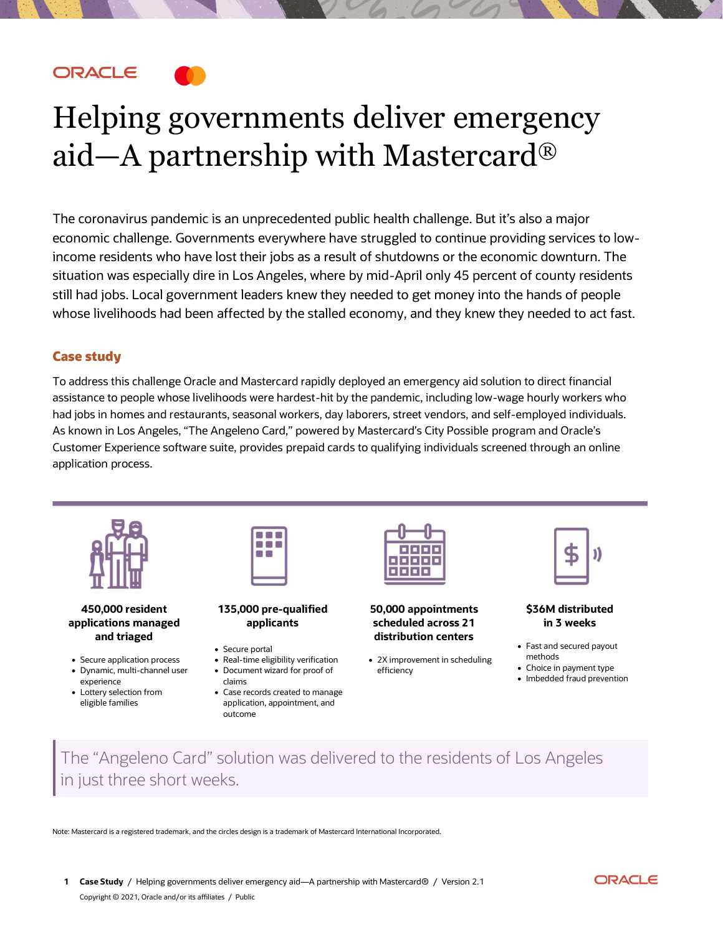**ORACLE** 

# Helping governments deliver emergency aid—A partnership with Mastercard®

The coronavirus pandemic is an unprecedented public health challenge. But it's also a major economic challenge. Governments everywhere have struggled to continue providing services to lowincome residents who have lost their jobs as a result of shutdowns or the economic downturn. The situation was especially dire in Los Angeles, where by mid-April only 45 percent of county residents still had jobs. Local government leaders knew they needed to get money into the hands of people whose livelihoods had been affected by the stalled economy, and they knew they needed to act fast.

## Case study

To address this challenge Oracle and Mastercard rapidly deployed an emergency aid solution to direct financial assistance to people whose livelihoods were hardest-hit by the pandemic, including low-wage hourly workers who had jobs in homes and restaurants, seasonal workers, day laborers, street vendors, and self-employed individuals. As known in Los Angeles, "The Angeleno Card," powered by Mastercard's City Possible program and Oracle's Customer Experience software suite, provides prepaid cards to qualifying individuals screened through an online application process.



#### **450,000 resident applications managed and triaged**

- Secure application process • Dynamic, multi-channel user
- experience • Lottery selection from
- eligible families



**135,000 pre-qualified applicants**

- Secure portal
- Real-time eligibility verification • Document wizard for proof of claims
- Case records created to manage application, appointment, and outcome



**50,000 appointments scheduled across 21 distribution centers**

• 2X improvement in scheduling efficiency

#### **\$36M distributed in 3 weeks**

- Fast and secured payout methods
- Choice in payment type
- Imbedded fraud prevention
- The "Angeleno Card" solution was delivered to the residents of Los Angeles in just three short weeks.

Note: Mastercard is a registered trademark, and the circles design is a trademark of Mastercard International Incorporated.

**1 Case Study** / Helping governments deliver emergency aid—A partnership with Mastercard® / Version 2.1 Copyright © 2021, Oracle and/or its affiliates / Public

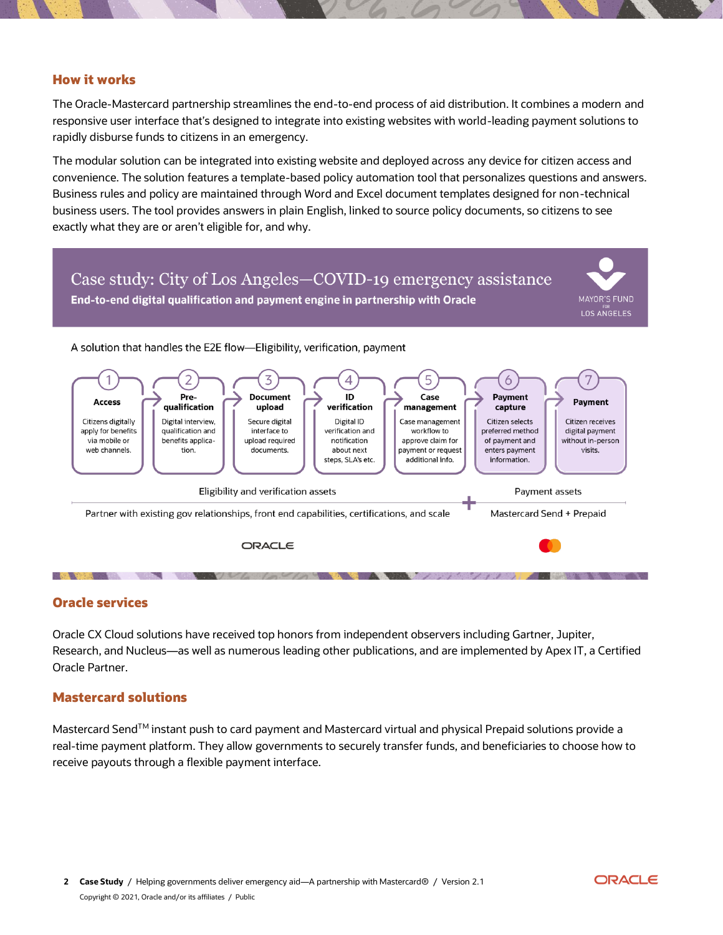## How it works

The Oracle-Mastercard partnership streamlines the end-to-end process of aid distribution. It combines a modern and responsive user interface that's designed to integrate into existing websites with world-leading payment solutions to rapidly disburse funds to citizens in an emergency.

The modular solution can be integrated into existing website and deployed across any device for citizen access and convenience. The solution features a template-based policy automation tool that personalizes questions and answers. Business rules and policy are maintained through Word and Excel document templates designed for non-technical business users. The tool provides answers in plain English, linked to source policy documents, so citizens to see exactly what they are or aren't eligible for, and why.



## Oracle services

Oracle CX Cloud solutions have received top honors from independent observers including Gartner, Jupiter, Research, and Nucleus—as well as numerous leading other publications, and are implemented by Apex IT, a Certified Oracle Partner.

### Mastercard solutions

Mastercard SendTM instant push to card payment and Mastercard virtual and physical Prepaid solutions provide a real-time payment platform. They allow governments to securely transfer funds, and beneficiaries to choose how to receive payouts through a flexible payment interface.